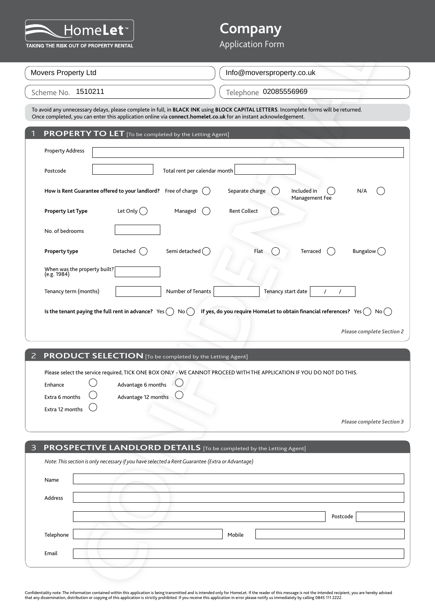

# **Company**

| I IVIII CI<br>TAKING THE RISK OUT OF PROPERTY RENTAL |                                                                                                                                                                        | <b>Application Form</b>                                                                                                                |
|------------------------------------------------------|------------------------------------------------------------------------------------------------------------------------------------------------------------------------|----------------------------------------------------------------------------------------------------------------------------------------|
| Movers Property Ltd                                  |                                                                                                                                                                        | Info@moversproperty.co.uk                                                                                                              |
|                                                      |                                                                                                                                                                        |                                                                                                                                        |
| Scheme No. 1510211                                   |                                                                                                                                                                        | Telephone 02085556969                                                                                                                  |
|                                                      | Once completed, you can enter this application online via connect.homelet.co.uk for an instant acknowledgement.                                                        | To avoid any unnecessary delays, please complete in full, in BLACK INK using BLOCK CAPITAL LETTERS. Incomplete forms will be returned. |
|                                                      | <b>PROPERTY TO LET</b> [To be completed by the Letting Agent]                                                                                                          |                                                                                                                                        |
| <b>Property Address</b>                              |                                                                                                                                                                        |                                                                                                                                        |
| Postcode                                             | Total rent per calendar month                                                                                                                                          |                                                                                                                                        |
|                                                      | How is Rent Guarantee offered to your landlord? Free of charge                                                                                                         | Included in<br>Separate charge<br>N/A<br>Management Fee                                                                                |
| <b>Property Let Type</b>                             | Let Only $( )$<br>Managed                                                                                                                                              | <b>Rent Collect</b>                                                                                                                    |
| No. of bedrooms                                      |                                                                                                                                                                        |                                                                                                                                        |
| Property type                                        | Semi detached ()<br>Detached                                                                                                                                           | Flat<br>Bungalow $($<br>Terraced                                                                                                       |
| When was the property built?                         |                                                                                                                                                                        |                                                                                                                                        |
| (e.g. 1984)                                          |                                                                                                                                                                        |                                                                                                                                        |
| Tenancy term (months)                                | Number of Tenants                                                                                                                                                      | Tenancy start date<br>$\prime$                                                                                                         |
|                                                      | Is the tenant paying the full rent in advance? $Yes( )$<br>No(                                                                                                         | If yes, do you require HomeLet to obtain financial references? Yes $($ $)$ No $($ $)$                                                  |
|                                                      |                                                                                                                                                                        | Please complete Section 2                                                                                                              |
|                                                      |                                                                                                                                                                        |                                                                                                                                        |
|                                                      | <b>PRODUCT SELECTION</b> [To be completed by the Letting Agent]                                                                                                        |                                                                                                                                        |
|                                                      |                                                                                                                                                                        | Please select the service required, TICK ONE BOX ONLY - WE CANNOT PROCEED WITH THE APPLICATION IF YOU DO NOT DO THIS.                  |
| Enhance                                              | Advantage 6 months                                                                                                                                                     |                                                                                                                                        |
| Extra 6 months<br>Extra 12 months                    | Advantage 12 months                                                                                                                                                    |                                                                                                                                        |
|                                                      |                                                                                                                                                                        | Please complete Section 3                                                                                                              |
|                                                      |                                                                                                                                                                        |                                                                                                                                        |
|                                                      | PROSPECTIVE LANDLORD DETAILS [To be completed by the Letting Agent]<br>Note: This section is only necessary if you have selected a Rent Guarantee (Extra or Advantage) |                                                                                                                                        |
| Name                                                 |                                                                                                                                                                        |                                                                                                                                        |
| Address                                              |                                                                                                                                                                        |                                                                                                                                        |
|                                                      |                                                                                                                                                                        | Postcode                                                                                                                               |
| Telephone                                            |                                                                                                                                                                        | Mobile                                                                                                                                 |
| Email                                                |                                                                                                                                                                        |                                                                                                                                        |

|                                                       |            |                   | Management Fee                                                              |  |
|-------------------------------------------------------|------------|-------------------|-----------------------------------------------------------------------------|--|
| Property Let Type                                     | Let Only ( | Managed           | <b>Rent Collect</b>                                                         |  |
| No. of bedrooms                                       |            |                   |                                                                             |  |
| Property type                                         | Detached   | Semi detached (   | Flat<br>Bungalow (<br>Terraced                                              |  |
| When was the property built? [15]                     |            |                   |                                                                             |  |
| Tenancy term (months)                                 |            | Number of Tenants | Tenancy start date                                                          |  |
| Is the tenant paying the full rent in advance? $Yes($ |            | No (              | If yes, do you require HomeLet to obtain financial references? Yes (<br>No( |  |
|                                                       |            |                   | <b>Please complete Section 2</b>                                            |  |

#### 2 **PRODUCT SELECTION** [To be completed by the Letting Agent]

| Enhance                   | Advantage 6 months $\bigcirc$  |  |
|---------------------------|--------------------------------|--|
|                           |                                |  |
| Extra 6 months $\bigcirc$ | Advantage 12 months $\bigcirc$ |  |
| Extra 12 months           |                                |  |

| 3         | <b>PROSPECTIVE LANDLORD DETAILS</b> [To be completed by the Letting Agent]                      |        |          |
|-----------|-------------------------------------------------------------------------------------------------|--------|----------|
|           | Note: This section is only necessary if you have selected a Rent Guarantee (Extra or Advantage) |        |          |
| Name      |                                                                                                 |        |          |
| Address   |                                                                                                 |        |          |
|           |                                                                                                 |        | Postcode |
| Telephone |                                                                                                 | Mobile |          |
| Email     |                                                                                                 |        |          |
|           |                                                                                                 |        |          |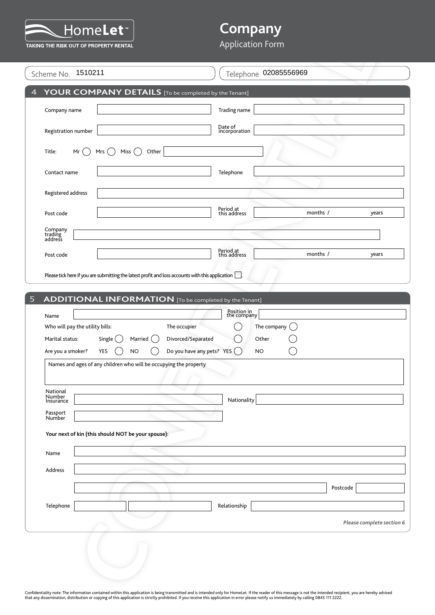

# **Company**

### Application Form

| Scheme No. 1510211                                             | Telephone 02085556969                                                                                            |
|----------------------------------------------------------------|------------------------------------------------------------------------------------------------------------------|
|                                                                | YOUR COMPANY DETAILS [To be completed by the Tenant]                                                             |
| Company name                                                   | Trading name                                                                                                     |
| Registration number                                            | Date of<br>incorporation                                                                                         |
| Title:<br>Mr<br>Mrs $( )$                                      | Miss <sup>(</sup><br>Other                                                                                       |
| Contact name                                                   | Telephone                                                                                                        |
| Registered address                                             |                                                                                                                  |
| Post code                                                      | Period at<br>this address<br>months /<br>years                                                                   |
| Company<br>trading<br>address                                  |                                                                                                                  |
| Post code                                                      | Period at<br>this address<br>months /<br>years                                                                   |
| ADDITIONAL INFORMATION [To be completed by the Tenant]<br>Name | Position in<br>the company                                                                                       |
| Who will pay the utility bills:<br>Marital status:<br>Single ( | The occupier<br>The company<br>Divorced/Separated<br>Married<br>Other                                            |
| Are you a smoker?<br>YES                                       | Do you have any pets? YES $( )$<br>NO<br>NO<br>Names and ages of any children who will be occupying the property |
|                                                                |                                                                                                                  |
| National<br>Number<br>Insurance                                | Nationality                                                                                                      |
| Passport<br>Number                                             |                                                                                                                  |
| Your next of kin (this should NOT be your spouse):             |                                                                                                                  |
| Name                                                           |                                                                                                                  |
| Address                                                        |                                                                                                                  |
|                                                                | Postcode                                                                                                         |
| Telephone                                                      | Relationship                                                                                                     |
|                                                                | Please complete section 6                                                                                        |